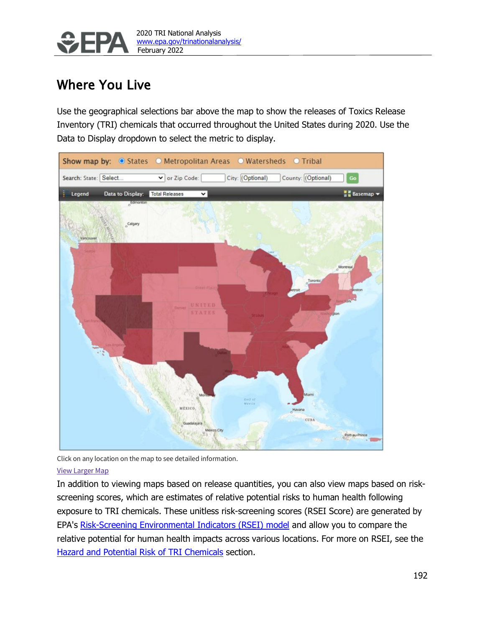

# Where You Live

Use the geographical selections bar above the map to show the releases of Toxics Release Inventory (TRI) chemicals that occurred throughout the United States during 2020. Use the Data to Display dropdown to select the metric to display.



Click on any location on the map to see detailed information.

#### [View Larger Map](https://gispub.epa.gov/trina2019/)

In addition to viewing maps based on release quantities, you can also view maps based on riskscreening scores, which are estimates of relative potential risks to human health following exposure to TRI chemicals. These unitless risk-screening scores (RSEI Score) are generated by EPA's [Risk-Screening Environmental Indicators \(RSEI\) model](https://www.epa.gov/rsei) and allow you to compare the relative potential for human health impacts across various locations. For more on RSEI, see the Hazard and Potential Risk of TRI Chemicals section.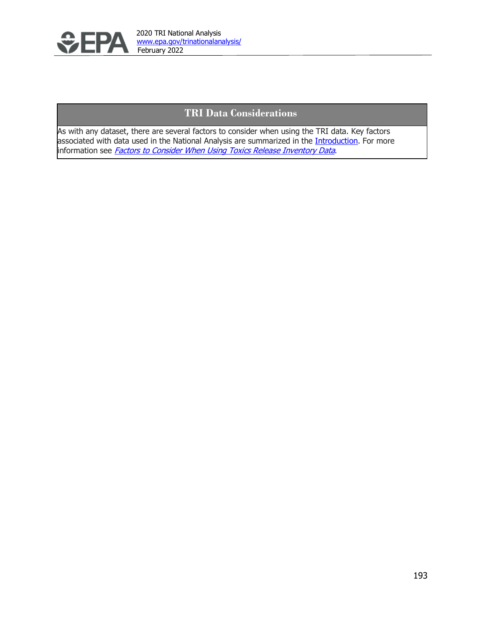

# **TRI Data Considerations**

As with any dataset, there are several factors to consider when using the TRI data. Key factors associated with data used in the National Analysis are summarized in the *Introduction*. For more information see *[Factors to Consider When Using Toxics Release Inventory Data](https://www.epa.gov/toxics-release-inventory-tri-program/factors-consider-when-using-toxics-release-inventory-data)*.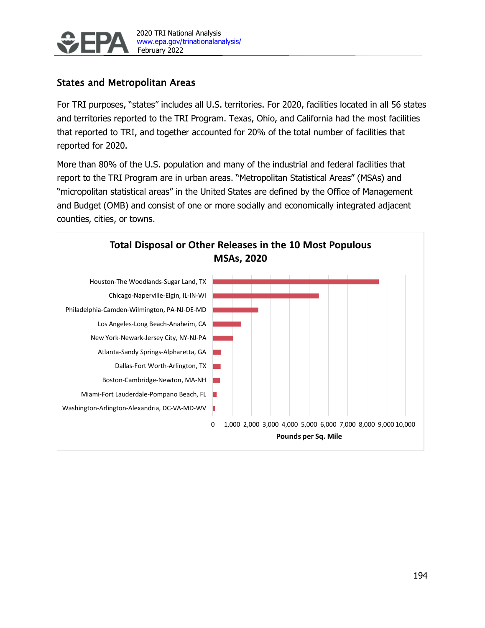

## States and Metropolitan Areas

For TRI purposes, "states" includes all U.S. territories. For 2020, facilities located in all 56 states and territories reported to the TRI Program. Texas, Ohio, and California had the most facilities that reported to TRI, and together accounted for 20% of the total number of facilities that reported for 2020.

More than 80% of the U.S. population and many of the industrial and federal facilities that report to the TRI Program are in urban areas. "Metropolitan Statistical Areas" (MSAs) and "micropolitan statistical areas" in the United States are defined by the Office of Management and Budget (OMB) and consist of one or more socially and economically integrated adjacent counties, cities, or towns.

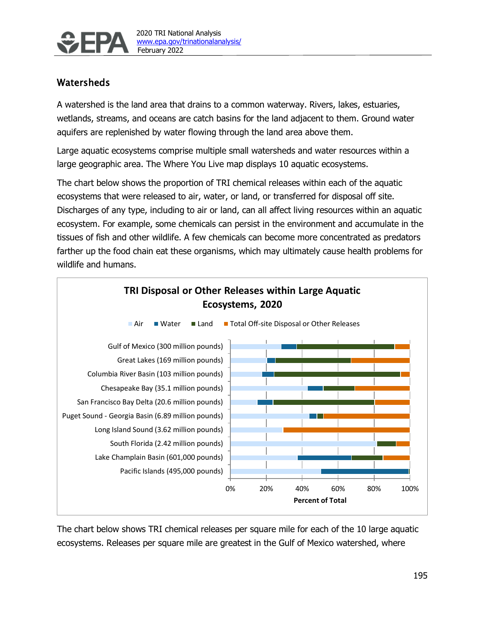

# Watersheds

A watershed is the land area that drains to a common waterway. Rivers, lakes, estuaries, wetlands, streams, and oceans are catch basins for the land adjacent to them. Ground water aquifers are replenished by water flowing through the land area above them.

Large aquatic ecosystems comprise multiple small watersheds and water resources within a large geographic area. The Where You Live map displays 10 aquatic ecosystems.

The chart below shows the proportion of TRI chemical releases within each of the aquatic ecosystems that were released to air, water, or land, or transferred for disposal off site. Discharges of any type, including to air or land, can all affect living resources within an aquatic ecosystem. For example, some chemicals can persist in the environment and accumulate in the tissues of fish and other wildlife. A few chemicals can become more concentrated as predators farther up the food chain eat these organisms, which may ultimately cause health problems for wildlife and humans.



The chart below shows TRI chemical releases per square mile for each of the 10 large aquatic ecosystems. Releases per square mile are greatest in the Gulf of Mexico watershed, where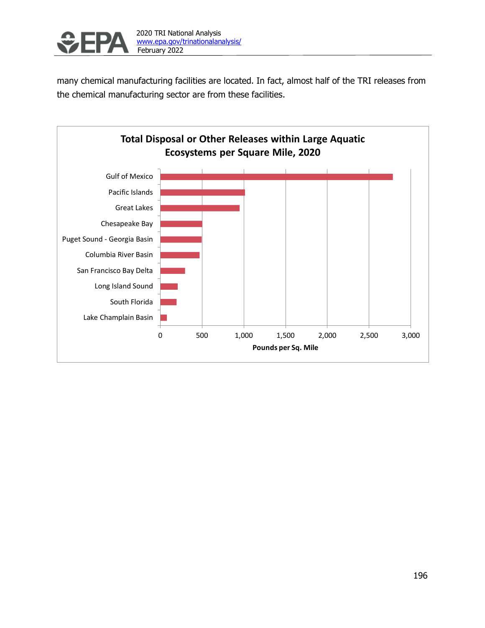

2020 TRI National Analysis [www.epa.gov/trinationalanalysis/](http://www.epa.gov/trinationalanalysis/)

many chemical manufacturing facilities are located. In fact, almost half of the TRI releases from the chemical manufacturing sector are from these facilities.

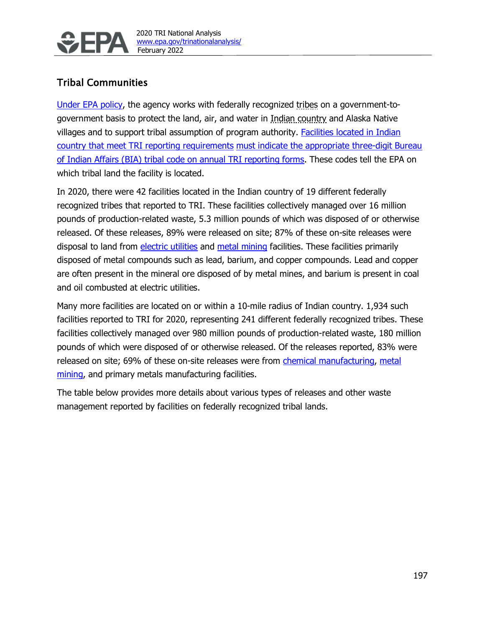

# Tribal Communities

[Under EPA policy,](https://www.epa.gov/tribal/epa-policy-administration-environmental-programs-indian-reservations-1984-indian-policy) the agency works with federally recognized tribes on a government-togovernment basis to protect the land, air, and water in Indian country and Alaska Native villages and to support tribal assumption of program authority. [Facilities located in Indian](https://www.epa.gov/toxics-release-inventory-tri-program/tri-reporting-facilities-located-indian-country)  [country that meet TRI reporting requirements](https://www.epa.gov/toxics-release-inventory-tri-program/tri-reporting-facilities-located-indian-country) [must indicate the appropriate three-digit Bureau](https://www.epa.gov/toxics-release-inventory-tri-program/tri-reporting-facilities-located-indian-country)  [of Indian Affairs \(BIA\) tribal code on annual TRI reporting forms.](https://www.epa.gov/toxics-release-inventory-tri-program/tri-reporting-facilities-located-indian-country) These codes tell the EPA on which tribal land the facility is located.

In 2020, there were 42 facilities located in the Indian country of 19 different federally recognized tribes that reported to TRI. These facilities collectively managed over 16 million pounds of production-related waste, 5.3 million pounds of which was disposed of or otherwise released. Of these releases, 89% were released on site; 87% of these on-site releases were disposal to land from electric utilities and metal mining facilities. These facilities primarily disposed of metal compounds such as lead, barium, and copper compounds. Lead and copper are often present in the mineral ore disposed of by metal mines, and barium is present in coal and oil combusted at electric utilities.

Many more facilities are located on or within a 10-mile radius of Indian country. 1,934 such facilities reported to TRI for 2020, representing 241 different federally recognized tribes. These facilities collectively managed over 980 million pounds of production-related waste, 180 million pounds of which were disposed of or otherwise released. Of the releases reported, 83% were released on site; 69% of these on-site releases were from *chemical manufacturing*, metal mining, and primary metals manufacturing facilities.

The table below provides more details about various types of releases and other waste management reported by facilities on federally recognized tribal lands.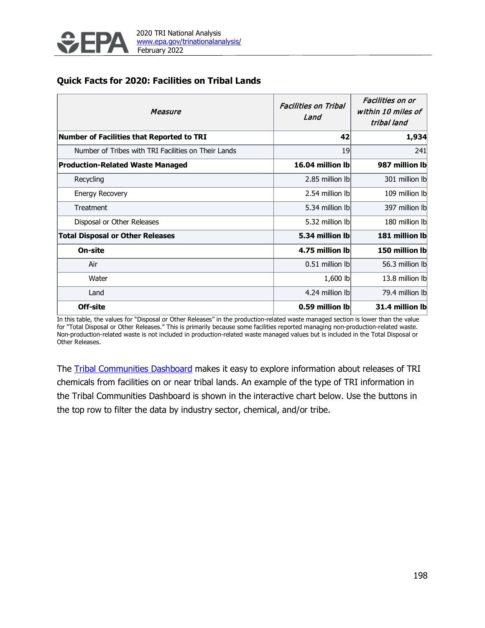

#### **Quick Facts for 2020: Facilities on Tribal Lands**

| Measure                                             | <b>Facilities on Tribal</b><br>Land | Facilities on or<br>within 10 miles of<br>tribal land |  |  |
|-----------------------------------------------------|-------------------------------------|-------------------------------------------------------|--|--|
| <b>Number of Facilities that Reported to TRI</b>    | 42                                  | 1,934                                                 |  |  |
| Number of Tribes with TRI Facilities on Their Lands | 19                                  | 241                                                   |  |  |
| <b>Production-Related Waste Managed</b>             | 16.04 million lb                    | 987 million Ib                                        |  |  |
| Recycling                                           | 2.85 million lb                     | 301 million Ib                                        |  |  |
| <b>Energy Recovery</b>                              | 2.54 million lb                     | 109 million Ibl                                       |  |  |
| Treatment                                           | 5.34 million lb                     | 397 million Ibl                                       |  |  |
| Disposal or Other Releases                          | 5.32 million lb                     | 180 million Ibl                                       |  |  |
| <b>Total Disposal or Other Releases</b>             | 5.34 million lb                     | 181 million lb                                        |  |  |
| <b>On-site</b>                                      | 4.75 million lb                     | 150 million lb                                        |  |  |
| Air                                                 | 0.51 million lbl                    | 56.3 million lb                                       |  |  |
| Water                                               | 1,600 lb                            | 13.8 million Ib                                       |  |  |
| Land                                                | 4.24 million lb                     | 79.4 million lb                                       |  |  |
| Off-site                                            | 0.59 million lb                     | 31.4 million lb                                       |  |  |

In this table, the values for "Disposal or Other Releases" in the production-related waste managed section is lower than the value for "Total Disposal or Other Releases." This is primarily because some facilities reported managing non-production-related waste. Non-production-related waste is not included in production-related waste managed values but is included in the Total Disposal or Other Releases.

The [Tribal Communities Dashboard](https://edap.epa.gov/public/extensions/TRI_Tribal_Communities_Dashboard/TRI_Tribal_Communities_Dashboard.html) makes it easy to explore information about releases of TRI chemicals from facilities on or near tribal lands. An example of the type of TRI information in the Tribal Communities Dashboard is shown in the interactive chart below. Use the buttons in the top row to filter the data by industry sector, chemical, and/or tribe.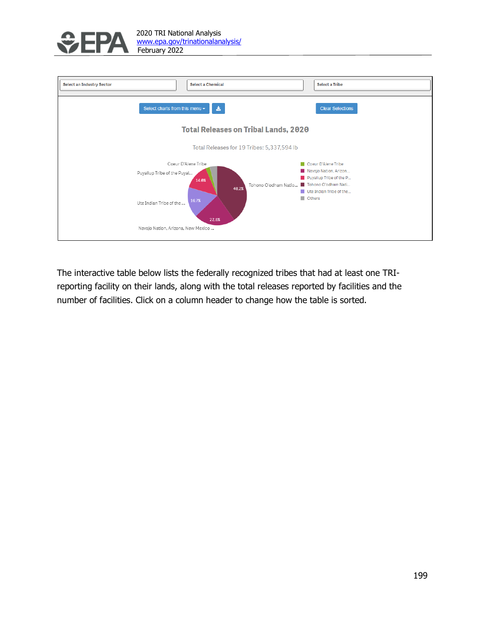

| <b>Select an Industry Sector</b>                                                                                    | <b>Select a Chemical</b>                                 | <b>Select a Tribe</b>                                                                                                                      |  |  |  |
|---------------------------------------------------------------------------------------------------------------------|----------------------------------------------------------|--------------------------------------------------------------------------------------------------------------------------------------------|--|--|--|
| Select charts from this menu -                                                                                      | 孟                                                        | <b>Clear Selections</b>                                                                                                                    |  |  |  |
| <b>Total Releases on Tribal Lands, 2020</b>                                                                         |                                                          |                                                                                                                                            |  |  |  |
| Total Releases for 19 Tribes: 5,337,594 lb                                                                          |                                                          |                                                                                                                                            |  |  |  |
| Coeur D'Alene Tribe<br>Puyallup Tribe of the Puyal<br>Ute Indian Tribe of the<br>Navajo Nation, Arizona, New Mexico | 14.0%<br>Tohono O'odham Natio<br>40.2%<br>16.7%<br>22.6% | Coeur D'Alene Tribe<br>Navajo Nation, Arizon<br>Puyallup Tribe of the P<br>Tohono O'odham Nati<br>Ute Indian Tribe of the<br><b>Others</b> |  |  |  |

The interactive table below lists the federally recognized tribes that had at least one TRIreporting facility on their lands, along with the total releases reported by facilities and the number of facilities. Click on a column header to change how the table is sorted.